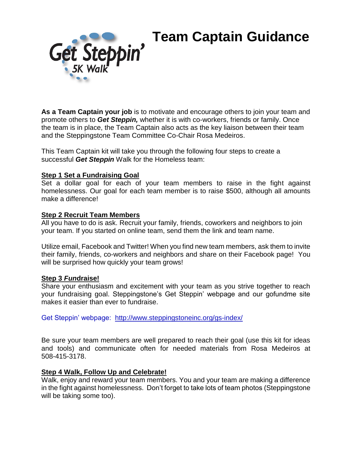# **Team Captain Guidance**



**As a Team Captain your job** is to motivate and encourage others to join your team and promote others to *Get Steppin,* whether it is with co-workers, friends or family. Once the team is in place, the Team Captain also acts as the key liaison between their team and the Steppingstone Team Committee Co-Chair Rosa Medeiros.

This Team Captain kit will take you through the following four steps to create a successful *Get Steppin* Walk for the Homeless team:

#### **Step 1 Set a Fundraising Goal**

Set a dollar goal for each of your team members to raise in the fight against homelessness. Our goal for each team member is to raise \$500, although all amounts make a difference!

#### **Step 2 Recruit Team Members**

All you have to do is ask. Recruit your family, friends, coworkers and neighbors to join your team. If you started on online team, send them the link and team name.

Utilize email, Facebook and Twitter! When you find new team members, ask them to invite their family, friends, co-workers and neighbors and share on their Facebook page! You will be surprised how quickly your team grows!

#### **Step 3** *Fun***draise!**

Share your enthusiasm and excitement with your team as you strive together to reach your fundraising goal. Steppingstone's Get Steppin' webpage and our gofundme site makes it easier than ever to fundraise.

Get Steppin' webpage: <http://www.steppingstoneinc.org/gs-index/>

Be sure your team members are well prepared to reach their goal (use this kit for ideas and tools) and communicate often for needed materials from Rosa Medeiros at 508-415-3178.

#### **Step 4 Walk, Follow Up and Celebrate!**

Walk, enjoy and reward your team members. You and your team are making a difference in the fight against homelessness. Don't forget to take lots of team photos (Steppingstone will be taking some too).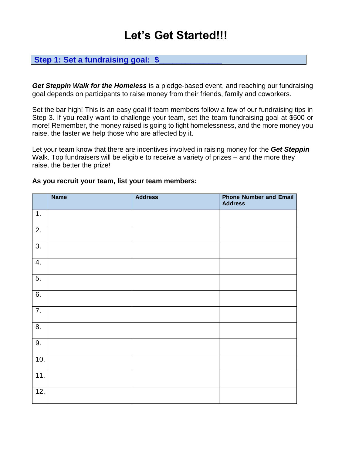# **Let's Get Started!!!**

### Step 1: Set a fundraising goal: \$

*Get Steppin Walk for the Homeless* is a pledge-based event, and reaching our fundraising goal depends on participants to raise money from their friends, family and coworkers.

Set the bar high! This is an easy goal if team members follow a few of our fundraising tips in Step 3. If you really want to challenge your team, set the team fundraising goal at \$500 or more! Remember, the money raised is going to fight homelessness, and the more money you raise, the faster we help those who are affected by it.

Let your team know that there are incentives involved in raising money for the *Get Steppin* Walk. Top fundraisers will be eligible to receive a variety of prizes – and the more they raise, the better the prize!

|                  | <b>Name</b> | <b>Address</b> | <b>Phone Number and Email</b><br><b>Address</b> |
|------------------|-------------|----------------|-------------------------------------------------|
| $\overline{1}$ . |             |                |                                                 |
| $\overline{2}$ . |             |                |                                                 |
| 3.               |             |                |                                                 |
| 4.               |             |                |                                                 |
| 5.               |             |                |                                                 |
| 6.               |             |                |                                                 |
| $\overline{7}$ . |             |                |                                                 |
| 8.               |             |                |                                                 |
| 9.               |             |                |                                                 |
| 10.              |             |                |                                                 |
| 11.              |             |                |                                                 |
| 12.              |             |                |                                                 |

#### **As you recruit your team, list your team members:**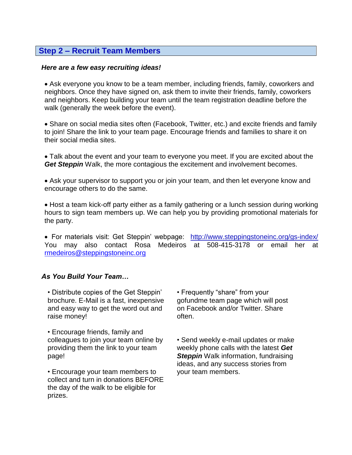#### **Step 2 – Recruit Team Members**

#### *Here are a few easy recruiting ideas!*

 Ask everyone you know to be a team member, including friends, family, coworkers and neighbors. Once they have signed on, ask them to invite their friends, family, coworkers and neighbors. Keep building your team until the team registration deadline before the walk (generally the week before the event).

• Share on social media sites often (Facebook, Twitter, etc.) and excite friends and family to join! Share the link to your team page. Encourage friends and families to share it on their social media sites.

 Talk about the event and your team to everyone you meet. If you are excited about the **Get Steppin** Walk, the more contagious the excitement and involvement becomes.

 Ask your supervisor to support you or join your team, and then let everyone know and encourage others to do the same.

• Host a team kick-off party either as a family gathering or a lunch session during working hours to sign team members up. We can help you by providing promotional materials for the party.

 For materials visit: Get Steppin' webpage: <http://www.steppingstoneinc.org/gs-index/> You may also contact Rosa Medeiros at 508-415-3178 or email her at [rmedeiros@steppingstoneinc.org](mailto:rmedeiros@steppingstoneinc.org)

#### *As You Build Your Team…*

• Distribute copies of the Get Steppin' brochure. E-Mail is a fast, inexpensive and easy way to get the word out and raise money!

• Encourage friends, family and colleagues to join your team online by providing them the link to your team page!

• Encourage your team members to collect and turn in donations BEFORE the day of the walk to be eligible for prizes.

• Frequently "share" from your gofundme team page which will post on Facebook and/or Twitter. Share often.

• Send weekly e-mail updates or make weekly phone calls with the latest *Get Steppin* Walk information, fundraising ideas, and any success stories from your team members.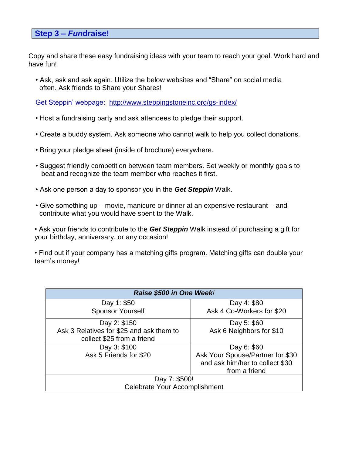#### **Step 3 –** *Fun***draise!**

Copy and share these easy fundraising ideas with your team to reach your goal. Work hard and have fun!

• Ask, ask and ask again. Utilize the below websites and "Share" on social media often. Ask friends to Share your Shares!

Get Steppin' webpage: <http://www.steppingstoneinc.org/gs-index/>

- Host a fundraising party and ask attendees to pledge their support.
- Create a buddy system. Ask someone who cannot walk to help you collect donations.
- Bring your pledge sheet (inside of brochure) everywhere.
- Suggest friendly competition between team members. Set weekly or monthly goals to beat and recognize the team member who reaches it first.
- Ask one person a day to sponsor you in the *Get Steppin* Walk.
- Give something up movie, manicure or dinner at an expensive restaurant and contribute what you would have spent to the Walk.

• Ask your friends to contribute to the *Get Steppin* Walk instead of purchasing a gift for your birthday, anniversary, or any occasion!

• Find out if your company has a matching gifts program. Matching gifts can double your team's money!

| Raise \$500 in One Week!                 |                                  |  |  |
|------------------------------------------|----------------------------------|--|--|
| Day 1: \$50                              | Day 4: \$80                      |  |  |
| <b>Sponsor Yourself</b>                  | Ask 4 Co-Workers for \$20        |  |  |
| Day 2: \$150                             | Day 5: \$60                      |  |  |
| Ask 3 Relatives for \$25 and ask them to | Ask 6 Neighbors for \$10         |  |  |
| collect \$25 from a friend               |                                  |  |  |
| Day 3: \$100                             | Day 6: \$60                      |  |  |
| Ask 5 Friends for \$20                   | Ask Your Spouse/Partner for \$30 |  |  |
|                                          | and ask him/her to collect \$30  |  |  |
|                                          | from a friend                    |  |  |
| Day 7: \$500!                            |                                  |  |  |
| <b>Celebrate Your Accomplishment</b>     |                                  |  |  |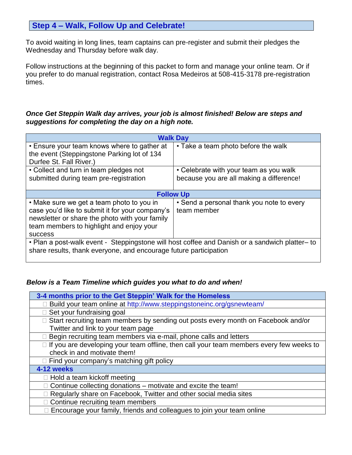# **Step 4 – Walk, Follow Up and Celebrate!**

To avoid waiting in long lines, team captains can pre-register and submit their pledges the Wednesday and Thursday before walk day.

Follow instructions at the beginning of this packet to form and manage your online team. Or if you prefer to do manual registration, contact Rosa Medeiros at 508-415-3178 pre-registration times.

#### *Once Get Steppin Walk day arrives, your job is almost finished! Below are steps and suggestions for completing the day on a high note.*

| <b>Walk Day</b>                                                                                                                                                                                              |                                                          |  |  |  |
|--------------------------------------------------------------------------------------------------------------------------------------------------------------------------------------------------------------|----------------------------------------------------------|--|--|--|
| • Ensure your team knows where to gather at<br>the event (Steppingstone Parking lot of 134<br>Durfee St. Fall River.)                                                                                        | • Take a team photo before the walk                      |  |  |  |
| • Collect and turn in team pledges not                                                                                                                                                                       | • Celebrate with your team as you walk                   |  |  |  |
| submitted during team pre-registration                                                                                                                                                                       | because you are all making a difference!                 |  |  |  |
| <b>Follow Up</b>                                                                                                                                                                                             |                                                          |  |  |  |
| • Make sure we get a team photo to you in<br>case you'd like to submit it for your company's<br>newsletter or share the photo with your family<br>team members to highlight and enjoy your<br><b>SUCCESS</b> | • Send a personal thank you note to every<br>team member |  |  |  |
| • Plan a post-walk event - Steppingstone will host coffee and Danish or a sandwich platter- to<br>share results, thank everyone, and encourage future participation                                          |                                                          |  |  |  |

#### *Below is a Team Timeline which guides you what to do and when!*

| 3-4 months prior to the Get Steppin' Walk for the Homeless                                     |  |  |  |
|------------------------------------------------------------------------------------------------|--|--|--|
| □ Build your team online at http://www.steppingstoneinc.org/gsnewteam/                         |  |  |  |
| Set your fundraising goal                                                                      |  |  |  |
| □ Start recruiting team members by sending out posts every month on Facebook and/or            |  |  |  |
| Twitter and link to your team page                                                             |  |  |  |
| $\Box$ Begin recruiting team members via e-mail, phone calls and letters                       |  |  |  |
| $\Box$ If you are developing your team offline, then call your team members every few weeks to |  |  |  |
| check in and motivate them!                                                                    |  |  |  |
| $\Box$ Find your company's matching gift policy                                                |  |  |  |
| 4-12 weeks                                                                                     |  |  |  |
| $\Box$ Hold a team kickoff meeting                                                             |  |  |  |
| $\Box$ Continue collecting donations – motivate and excite the team!                           |  |  |  |
| □ Regularly share on Facebook, Twitter and other social media sites                            |  |  |  |
| □ Continue recruiting team members                                                             |  |  |  |
| □ Encourage your family, friends and colleagues to join your team online                       |  |  |  |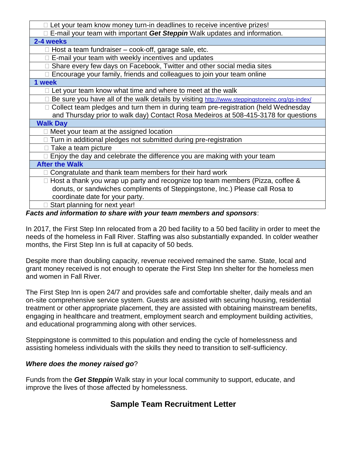| $\Box$ Let your team know money turn-in deadlines to receive incentive prizes!                 |  |  |  |  |
|------------------------------------------------------------------------------------------------|--|--|--|--|
| $\Box$ E-mail your team with important Get Steppin Walk updates and information.               |  |  |  |  |
| 2-4 weeks                                                                                      |  |  |  |  |
| $\Box$ Host a team fundraiser – cook-off, garage sale, etc.                                    |  |  |  |  |
| E-mail your team with weekly incentives and updates                                            |  |  |  |  |
| □ Share every few days on Facebook, Twitter and other social media sites                       |  |  |  |  |
| □ Encourage your family, friends and colleagues to join your team online                       |  |  |  |  |
| 1 week                                                                                         |  |  |  |  |
| $\Box$ Let your team know what time and where to meet at the walk                              |  |  |  |  |
| Be sure you have all of the walk details by visiting http://www.steppingstoneinc.org/gs-index/ |  |  |  |  |
| □ Collect team pledges and turn them in during team pre-registration (held Wednesday           |  |  |  |  |
| and Thursday prior to walk day) Contact Rosa Medeiros at 508-415-3178 for questions            |  |  |  |  |
| <b>Walk Day</b>                                                                                |  |  |  |  |
| $\Box$ Meet your team at the assigned location                                                 |  |  |  |  |
| $\Box$ Turn in additional pledges not submitted during pre-registration                        |  |  |  |  |
| $\Box$ Take a team picture                                                                     |  |  |  |  |
| $\Box$ Enjoy the day and celebrate the difference you are making with your team                |  |  |  |  |
| <b>After the Walk</b>                                                                          |  |  |  |  |
| Congratulate and thank team members for their hard work                                        |  |  |  |  |
| $\Box$ Host a thank you wrap up party and recognize top team members (Pizza, coffee &          |  |  |  |  |
| donuts, or sandwiches compliments of Steppingstone, Inc.) Please call Rosa to                  |  |  |  |  |
| coordinate date for your party.                                                                |  |  |  |  |
| Start planning for next year!                                                                  |  |  |  |  |

#### *Facts and information to share with your team members and sponsors*:

In 2017, the First Step Inn relocated from a 20 bed facility to a 50 bed facility in order to meet the needs of the homeless in Fall River. Staffing was also substantially expanded. In colder weather months, the First Step Inn is full at capacity of 50 beds.

Despite more than doubling capacity, revenue received remained the same. State, local and grant money received is not enough to operate the First Step Inn shelter for the homeless men and women in Fall River.

The First Step Inn is open 24/7 and provides safe and comfortable shelter, daily meals and an on-site comprehensive service system. Guests are assisted with securing housing, residential treatment or other appropriate placement, they are assisted with obtaining mainstream benefits, engaging in healthcare and treatment, employment search and employment building activities, and educational programming along with other services.

Steppingstone is committed to this population and ending the cycle of homelessness and assisting homeless individuals with the skills they need to transition to self-sufficiency.

#### *Where does the money raised go*?

Funds from the *Get Steppin* Walk stay in your local community to support, educate, and improve the lives of those affected by homelessness.

# **Sample Team Recruitment Letter**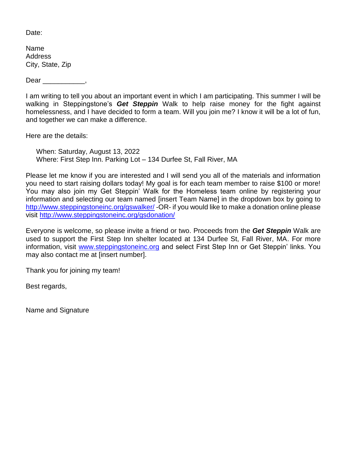Date:

Name Address City, State, Zip

Dear \_\_\_\_\_\_\_\_\_\_\_,

I am writing to tell you about an important event in which I am participating. This summer I will be walking in Steppingstone's *Get Steppin* Walk to help raise money for the fight against homelessness, and I have decided to form a team. Will you join me? I know it will be a lot of fun, and together we can make a difference.

Here are the details:

When: Saturday, August 13, 2022 Where: First Step Inn. Parking Lot – 134 Durfee St, Fall River, MA

Please let me know if you are interested and I will send you all of the materials and information you need to start raising dollars today! My goal is for each team member to raise \$100 or more! You may also join my Get Steppin' Walk for the Homeless team online by registering your information and selecting our team named [insert Team Name] in the dropdown box by going to <http://www.steppingstoneinc.org/gswalker/> -OR- if you would like to make a donation online please visit<http://www.steppingstoneinc.org/gsdonation/>

Everyone is welcome, so please invite a friend or two. Proceeds from the *Get Steppin* Walk are used to support the First Step Inn shelter located at 134 Durfee St, Fall River, MA. For more information, visit [www.steppingstoneinc.org](http://www.steppingstoneinc.org/) and select First Step Inn or Get Steppin' links. You may also contact me at [insert number].

Thank you for joining my team!

Best regards,

Name and Signature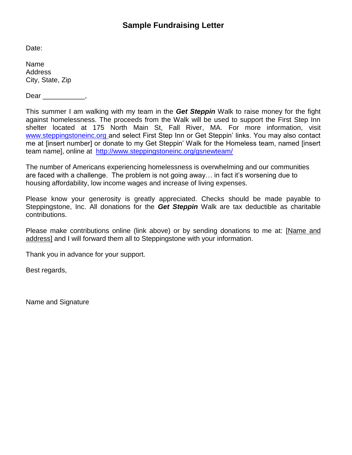Date:

Name Address City, State, Zip

Dear ,

This summer I am walking with my team in the *Get Steppin* Walk to raise money for the fight against homelessness. The proceeds from the Walk will be used to support the First Step Inn shelter located at 175 North Main St, Fall River, MA. For more information, visit [www.steppingstoneinc.org](http://www.steppingstoneinc.org/) and select First Step Inn or Get Steppin' links. You may also contact me at [insert number] or donate to my Get Steppin' Walk for the Homeless team, named [insert team name], online at <http://www.steppingstoneinc.org/gsnewteam/>

The number of Americans experiencing homelessness is overwhelming and our communities are faced with a challenge. The problem is not going away… in fact it's worsening due to housing affordability, low income wages and increase of living expenses.

Please know your generosity is greatly appreciated. Checks should be made payable to Steppingstone, Inc. All donations for the *Get Steppin* Walk are tax deductible as charitable contributions.

Please make contributions online (link above) or by sending donations to me at: [Name and address] and I will forward them all to Steppingstone with your information.

Thank you in advance for your support.

Best regards,

Name and Signature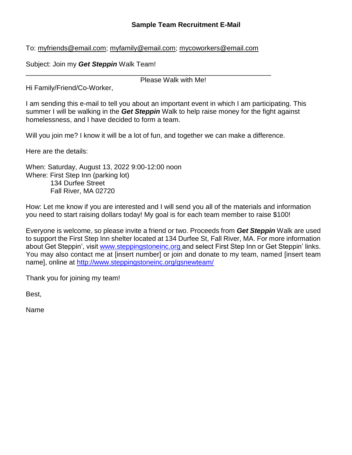#### **Sample Team Recruitment E-Mail**

To: myfriends@email.com; myfamily@email.com; mycoworkers@email.com

Subject: Join my *Get Steppin* Walk Team!

\_\_\_\_\_\_\_\_\_\_\_\_\_\_\_\_\_\_\_\_\_\_\_\_\_\_\_\_\_\_\_\_\_\_\_\_\_\_\_\_\_\_\_\_\_\_\_\_\_\_\_\_\_\_\_\_\_\_\_\_\_\_\_\_ Please Walk with Me!

Hi Family/Friend/Co-Worker,

I am sending this e-mail to tell you about an important event in which I am participating. This summer I will be walking in the *Get Steppin* Walk to help raise money for the fight against homelessness, and I have decided to form a team.

Will you join me? I know it will be a lot of fun, and together we can make a difference.

Here are the details:

When: Saturday, August 13, 2022 9:00-12:00 noon Where: First Step Inn (parking lot) 134 Durfee Street Fall River, MA 02720

How: Let me know if you are interested and I will send you all of the materials and information you need to start raising dollars today! My goal is for each team member to raise \$100!

Everyone is welcome, so please invite a friend or two. Proceeds from *Get Steppin* Walk are used to support the First Step Inn shelter located at 134 Durfee St, Fall River, MA. For more information about Get Steppin', visit [www.steppingstoneinc.org](http://www.steppingstoneinc.org/) and select First Step Inn or Get Steppin' links. You may also contact me at [insert number] or join and donate to my team, named [insert team name], online at <http://www.steppingstoneinc.org/gsnewteam/>

Thank you for joining my team!

Best,

Name